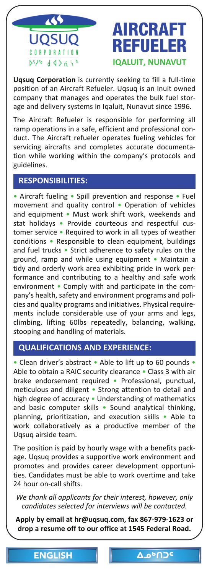<span id="page-0-0"></span>

**Uqsuq Corporation** is currently seeking to fill a full‐time position of an Aircraft Refueler. Uqsuq is an Inuit owned company that manages and operates the bulk fuel stor‐ age and delivery systems in Iqaluit, Nunavut since 1996.

The Aircraft Refueler is responsible for performing all ramp operations in a safe, efficient and professional con‐ [duct. The Aircraft refueler operates fueling vehicles for](mailto:hr@uqsuq.com)  servicing aircrafts and completes accurate documenta‐ tion while working within the company's protocols and guidelines.

# **RESPONSIBILITIES:**

• Aircraft fueling • Spill prevention and response • Fuel movement and quality control • Operation of vehicles and equipment • Must work shift work, weekends and stat holidays • Provide courteous and respectful cus‐ tomer service • Required to work in all types of weather conditions • Responsible to clean equipment, buildings and fuel trucks • Strict adherence to safety rules on the ground, ramp and while using equipment • Maintain a tidy and orderly work area exhibiting pride in work per‐ formance and contributing to a healthy and safe work environment • Comply with and participate in the company's health, safety and environment programs and poli‐ cies and quality programs and initiatives. Physical require‐ ments include considerable use of your arms and legs, climbing, lifting 60lbs repeatedly, balancing, walking, stooping and handling of materials.

## **QUALIFICATIONS AND EXPERIENCE:**

• Clean driver's abstract • Able to lift up to 60 pounds • Able to obtain a RAIC security clearance • Class 3 with air brake endorsement required • Professional, punctual, meticulous and diligent • Strong attention to detail and high degree of accuracy • Understanding of mathematics and basic computer skills • Sound analytical thinking, planning, prioritization, and execution skills • Able to work collaboratively as a productive member of the Uqsuq airside team.

The position is paid by hourly wage with a benefits pack‐ age. Uqsuq provides a supportive work environment and promotes and provides career development opportuni‐ ties. Candidates must be able [to work overtime and take](#page-1-0)  24 hour on‐call shifts.

*We thank all applicants for their interest, however, only candidates selected for interviews will be contacted.*

**Apply by email at hr@uqsuq.com, fax 867‐979‐1623 or drop a resume off to our office at 1545 Federal Road.**